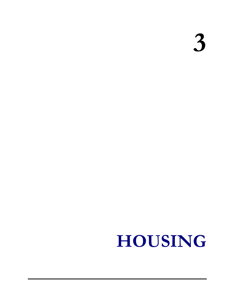3

# HOUSING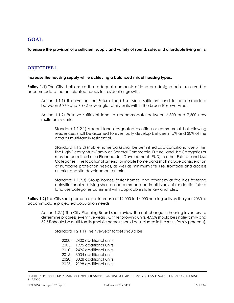## GOAL

To ensure the provision of a sufficient supply and variety of sound, safe, and affordable living units.

## OBJECTIVE 1

#### Increase the housing supply while achieving a balanced mix of housing types.

**Policy 1.1)** The City shall ensure that adequate amounts of land are designated or reserved to accommodate the anticipated needs for residential growth.

 Action 1.1.1) Reserve on the Future Land Use Map, sufficient land to accommodate between 6,960 and 7,942 new single-family units within the Urban Reserve Area.

 Action 1.1.2) Reserve sufficient land to accommodate between 6,800 and 7,500 new multi-family units.

 Standard 1.1.2.1) Vacant land designated as office or commercial, but allowing residences, shall be assumed to eventually develop between 15% and 30% of the area as multi-family residential.

 Standard 1.1.2.2) Mobile home parks shall be permitted as a conditional use within the High-Density Multi-Family or General Commercial Future Land Use Categories or may be permitted as a Planned Unit Development (PUD) in other Future Land Use Categories. The locational criteria for mobile home parks shall include consideration of hurricane protection needs, as well as minimum site size, frontage and access criteria, and site development criteria.

 Standard 1.1.2.3) Group homes, foster homes, and other similar facilities fostering deinstitutionalized living shall be accommodated in all types of residential future land use categories consistent with applicable state law and rules.

**Policy 1.2)** The City shall promote a net increase of 12,000 to 14,000 housing units by the year 2030 to accommodate projected population needs.

 Action 1.2.1) The City Planning Board shall review the net change in housing inventory to determine progress every five years. Of the following units, 47.5% should be single-family and 52.5% should be multi-family (mobile homes should be included in the multi-family percents).

Standard 1.2.1.1) The five-year target should be:

- 2000: 2400 additional units
- 2005: 1995 additional units
- 2010: 2496 additional units
- 2015: 3034 additional units
- 2020: 3028 additional units
- 2025: 2198 additional units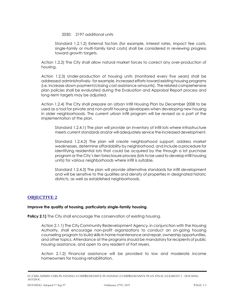2030: 2197 additional units

 Standard 1.2.1.2) External factors (for example, interest rates, impact fee costs, single-family or multi-family land costs) shall be considered in reviewing progress toward growth targets.

 Action 1.2.2) The City shall allow natural market forces to correct any over-production of housing.

 Action 1.2.3) Under-production of housing units (monitored every five years) shall be addressed administratively- for example, increased efforts toward existing housing programs (i.e. increase down payment/closing cost assistance amounts). The related comprehensive plan policies shall be evaluated during the Evaluation and Appraisal Report process and long-term targets may be adjusted.

 Action 1.2.4) The City shall prepare an Urban Infill Housing Plan by December 2008 to be used as a tool for private and non-profit housing developers when developing new housing in older neighborhoods. The current urban infill program will be revised as a part of the implementation of the plan.

 Standard 1.2.4.1) The plan will provide an inventory of infill lots where infrastructure meets current standards and/or will adequately service the increased development.

 Standard 1.2.4.2) The plan will create neighborhood support, address market weaknesses, determine affordability by neighborhood, and include a procedure for identifying residential lots that could be acquired by the through a lot purchase program or the City's lien foreclosure process (lots to be used to develop infill housing units) for various neighborhoods where infill is suitable.

 Standard 1.2.4.3) The plan will provide alternative standards for infill development and will be sensitive to the qualities and density of properties in designated historic districts, as well as established neighborhoods.

## OBJECTIVE 2

#### Improve the quality of housing, particularly single-family housing.

**Policy 2.1)** The City shall encourage the conservation of existing housing.

 Action 2.1.1) The City Community Redevelopment Agency, in conjunction with the Housing Authority, shall encourage non-profit organizations to conduct an on-going housing counseling program to build skills in home maintenance and repair, ownership opportunities, and other topics. Attendance at the programs should be mandatory for recipients of public housing assistance, and open to any resident of Fort Myers.

 Action 2.1.2) Financial assistance will be provided to low and moderate income homeowners for housing rehabilitation.

 H:\CDD-ADMIN\CDD-PLANNING\COMPREHENSIVE PLANNING\COMPREHENSIVE PLAN FINAL\ELEMENT 3 - HOUSING 3419.DOC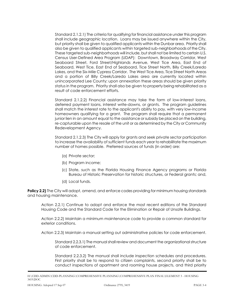Standard 2.1.2.1) The criteria for qualifying for financial assistance under this program shall include geographic location. Loans may be issued anywhere within the City, but priority shall be given to qualified applicants within the Dunbar area. Priority shall also be given to qualified applicants within targeted sub-neighborhoods of the City. These targeted sub-neighborhoods will include, but shall not be limited to certain U.S. Census User-Defined Area Program (UDAP): Downtown, Broadway Corridor, West Seaboard Street, Ford Street/Highlands Avenue, West Tice Area, East End of Seaboard, West Tice, East End of Seaboard, Tice Street North, Billy Creek/Laredo Lakes, and the Six-Mile Cypress Corridor. The West Tice Area, Tice Street North Areas and a portion of Billy Creek/Laredo Lakes area are currently located within unincorporated Lee County; upon annexation these areas should be given priority status in the program. Priority shall also be given to property being rehabilitated as a result of code enforcement efforts.

 Standard 2.1.2.2) Financial assistance may take the form of low-interest loans, deferred payment loans, interest write-downs, or grants. The program guidelines shall match the interest rate to the applicant's ability to pay, with very low-income homeowners qualifying for a grant. The program shall require that a permanent junior lien in an amount equal to the assistance or subsidy be placed on the building, re-capturable upon the resale of the unit or as determined by the City or Community Redevelopment Agency.

 Standard 2.1.2.3) The City will apply for grants and seek private sector participation to increase the availability of sufficient funds each year to rehabilitate the maximum number of homes possible. Preferred sources of funds (in order) are:

- (a) Private sector;
- (b) Program income;
- (c) State, such as the Florida Housing Finance Agency programs or Florida Bureau of Historic Preservation for historic structures, or Federal grants; and,
- (d) Local funds.

**Policy 2.2)** The City will adopt, amend, and enforce codes providing for minimum housing standards and housing maintenance.

 Action 2.2.1) Continue to adopt and enforce the most recent editions of the Standard Housing Code and the Standard Code for the Elimination or Repair of Unsafe Buildings.

 Action 2.2.2) Maintain a minimum maintenance code to provide a common standard for exterior conditions.

Action 2.2.3) Maintain a manual setting out administrative policies for code enforcement.

 Standard 2.2.3.1) The manual shall review and document the organizational structure of code enforcement.

 Standard 2.2.3.2) The manual shall include inspection schedules and procedures. First priority shall be to respond to citizen complaints, second priority shall be to conduct inspections of apartment and rooming house projects, and third priority

 H:\CDD-ADMIN\CDD-PLANNING\COMPREHENSIVE PLANNING\COMPREHENSIVE PLAN FINAL\ELEMENT 3 - HOUSING 3419.DOC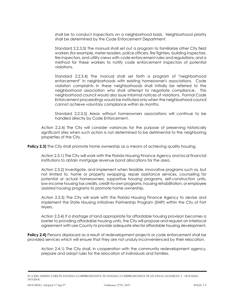shall be to conduct inspections on a neighborhood basis. Neighborhood priority shall be determined by the Code Enforcement Department.

 Standard 2.2.3.3) The manual shall set out a program to familiarize other City field workers (for example, meter readers, police officers, fire fighters, building inspectors, fire inspectors, and utility crews with code enforcement rules and regulations, and a method for these workers to notify code enforcement inspectors of potential violations.

 Standard 2.2.3.4) The manual shall set forth a program of "neighborhood enforcement" in neighborhoods with existing homeowner's associations. Code violation complaints in these neighborhoods shall initially be referred to the neighborhood association who shall attempt to negotiate compliance. This neighborhood council would also issue informal notices of violations. Formal Code Enforcement proceedings would be instituted only when the neighborhood council cannot achieve voluntary compliance within six months.

 Standard 2.2.3.5) Areas without homeowners associations will continue to be handled directly by Code Enforcement.

 Action 2.2.4) The City will consider variances for the purpose of preserving historically significant sites when such action is not determined to be detrimental to the neighboring properties of the City.

**Policy 2.3)** The City shall promote home ownership as a means of achieving quality housing.

 Action 2.3.1) The City will work with the Florida Housing Finance Agency and local financial institutions to obtain mortgage revenue bond allocations for the area.

 Action 2.3.2) Investigate, and implement when feasible, innovative programs such as, but not limited to, home or property swapping, repair assistance services, counseling for potential or actual homeowners, supportive housing programs, self-construction units, low-income housing tax credits, credit-to-own programs, housing rehabilitation, or employee assisted housing programs to promote home ownership.

 Action 2.3.3) The City will work with the Florida Housing Finance Agency to devise and implement the State Housing Initiatives Partnership Program (SHIP) within the City of Fort Myers.

 Action 2.3.4) If a shortage of land appropriate for affordable housing provision becomes a barrier to providing affordable housing units, the City will propose and request an interlocal agreement with Lee County to provide adequate sites for affordable housing development.

**Policy 2.4)** Persons displaced as a result of redevelopment projects or code enforcement shall be provided services which will ensure that they are not unduly inconvenienced by their relocation.

 Action 2.4.1) The City shall, in cooperation with the community redevelopment agency, prepare and adopt rules for the relocation of individuals and families.

 H:\CDD-ADMIN\CDD-PLANNING\COMPREHENSIVE PLANNING\COMPREHENSIVE PLAN FINAL\ELEMENT 3 - HOUSING 3419.DOC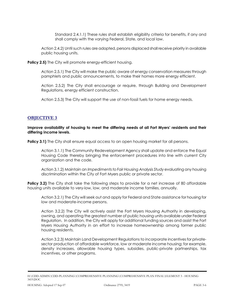Standard 2.4.1.1) These rules shall establish eligibility criteria for benefits, if any and shall comply with the varying Federal, State, and local law.

 Action 2.4.2) Until such rules are adopted, persons displaced shall receive priority in available public housing units.

**Policy 2.5)** The City will promote energy-efficient housing.

 Action 2.5.1) The City will make the public aware of energy conservation measures through pamphlets and public announcements, to make their homes more energy efficient.

 Action 2.5.2) The City shall encourage or require, through Building and Development Regulations, energy efficient construction.

Action 2.5.3) The City will support the use of non-fossil fuels for home energy needs.

## OBJECTIVE 3

 Improve availability of housing to meet the differing needs of all Fort Myers' residents and their differing income levels.

**Policy 3.1)** The City shall ensure equal access to an open housing market for all persons.

 Action 3.1.1) The Community Redevelopment Agency shall update and enforce the Equal Housing Code thereby bringing the enforcement procedures into line with current City organization and the code.

 Action 3.1.2) Maintain an Impediments to Fair Housing Analysis Study evaluating any housing discrimination within the City of Fort Myers public or private sector.

**Policy 3.2)** The City shall take the following steps to provide for a net increase of 80 affordable housing units available to very-low, low, and moderate income families, annually.

 Action 3.2.1) The City will seek out and apply for Federal and State assistance for housing for low and moderate-income persons.

 Action 3.2.2) The City will actively assist the Fort Myers Housing Authority in developing, owning, and operating the greatest number of public housing units available under Federal Regulation. In addition, the City will apply for additional funding sources and assist the Fort Myers Housing Authority in an effort to increase homeownership among former public housing residents.

 Action 3.2.3) Maintain Land Development Regulations to incorporate incentives for private- sector production of affordable workforce, low or moderate income housing; for example, density increases, allowable housing types, subsidies, public-private partnerships, tax incentives, or other programs.

 H:\CDD-ADMIN\CDD-PLANNING\COMPREHENSIVE PLANNING\COMPREHENSIVE PLAN FINAL\ELEMENT 3 - HOUSING 3419.DOC